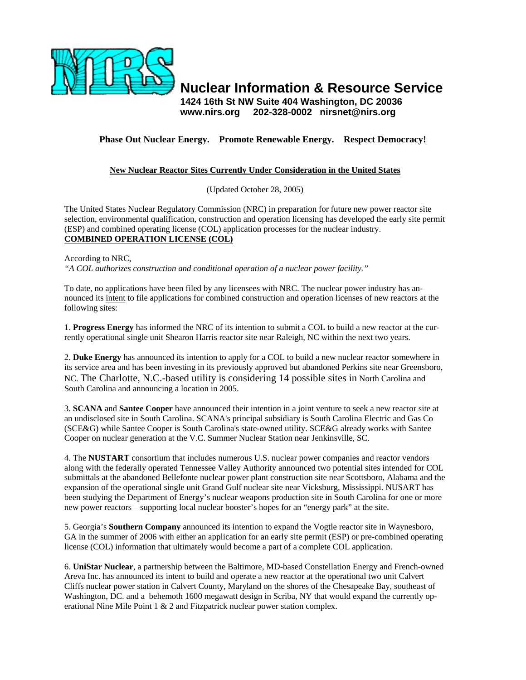

**Nuclear Information & Resource Service** 

**1424 16th St NW Suite 404 Washington, DC 20036 www.nirs.org 202-328-0002 nirsnet@nirs.org** 

## **Phase Out Nuclear Energy. Promote Renewable Energy. Respect Democracy!**

## **New Nuclear Reactor Sites Currently Under Consideration in the United States**

(Updated October 28, 2005)

The United States Nuclear Regulatory Commission (NRC) in preparation for future new power reactor site selection, environmental qualification, construction and operation licensing has developed the early site permit (ESP) and combined operating license (COL) application processes for the nuclear industry. **COMBINED OPERATION LICENSE (COL)**

According to NRC,

*"A COL authorizes construction and conditional operation of a nuclear power facility."* 

To date, no applications have been filed by any licensees with NRC. The nuclear power industry has announced its intent to file applications for combined construction and operation licenses of new reactors at the following sites:

1. **Progress Energy** has informed the NRC of its intention to submit a COL to build a new reactor at the currently operational single unit Shearon Harris reactor site near Raleigh, NC within the next two years.

2. **Duke Energy** has announced its intention to apply for a COL to build a new nuclear reactor somewhere in its service area and has been investing in its previously approved but abandoned Perkins site near Greensboro, NC. The Charlotte, N.C.-based utility is considering 14 possible sites in North Carolina and South Carolina and announcing a location in 2005.

3. **SCANA** and **Santee Cooper** have announced their intention in a joint venture to seek a new reactor site at an undisclosed site in South Carolina. SCANA's principal subsidiary is South Carolina Electric and Gas Co (SCE&G) while Santee Cooper is South Carolina's state-owned utility. SCE&G already works with Santee Cooper on nuclear generation at the V.C. Summer Nuclear Station near Jenkinsville, SC.

4. The **NUSTART** consortium that includes numerous U.S. nuclear power companies and reactor vendors along with the federally operated Tennessee Valley Authority announced two potential sites intended for COL submittals at the abandoned Bellefonte nuclear power plant construction site near Scottsboro, Alabama and the expansion of the operational single unit Grand Gulf nuclear site near Vicksburg, Mississippi. NUSART has been studying the Department of Energy's nuclear weapons production site in South Carolina for one or more new power reactors – supporting local nuclear booster's hopes for an "energy park" at the site.

5. Georgia's **Southern Company** announced its intention to expand the Vogtle reactor site in Waynesboro, GA in the summer of 2006 with either an application for an early site permit (ESP) or pre-combined operating license (COL) information that ultimately would become a part of a complete COL application.

6. **UniStar Nuclear**, a partnership between the Baltimore, MD-based Constellation Energy and French-owned Areva Inc. has announced its intent to build and operate a new reactor at the operational two unit Calvert Cliffs nuclear power station in Calvert County, Maryland on the shores of the Chesapeake Bay, southeast of Washington, DC. and a behemoth 1600 megawatt design in Scriba, NY that would expand the currently operational Nine Mile Point 1 & 2 and Fitzpatrick nuclear power station complex.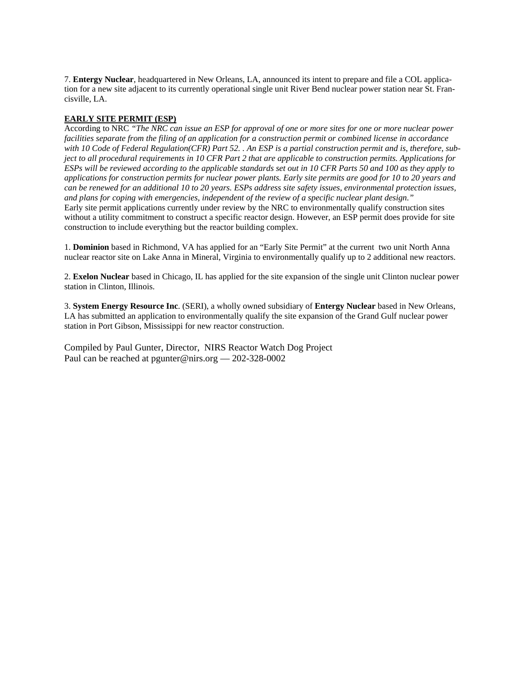7. **Entergy Nuclear**, headquartered in New Orleans, LA, announced its intent to prepare and file a COL application for a new site adjacent to its currently operational single unit River Bend nuclear power station near St. Francisville, LA.

## **EARLY SITE PERMIT (ESP)**

According to NRC *"The NRC can issue an ESP for approval of one or more sites for one or more nuclear power*  facilities separate from the filing of an application for a construction permit or combined license in accordance *with 10 Code of Federal Regulation(CFR) Part 52. . An ESP is a partial construction permit and is, therefore, subject to all procedural requirements in 10 CFR Part 2 that are applicable to construction permits. Applications for ESPs will be reviewed according to the applicable standards set out in 10 CFR Parts 50 and 100 as they apply to applications for construction permits for nuclear power plants. Early site permits are good for 10 to 20 years and can be renewed for an additional 10 to 20 years. ESPs address site safety issues, environmental protection issues, and plans for coping with emergencies, independent of the review of a specific nuclear plant design."*  Early site permit applications currently under review by the NRC to environmentally qualify construction sites without a utility commitment to construct a specific reactor design. However, an ESP permit does provide for site construction to include everything but the reactor building complex.

1. **Dominion** based in Richmond, VA has applied for an "Early Site Permit" at the current two unit North Anna nuclear reactor site on Lake Anna in Mineral, Virginia to environmentally qualify up to 2 additional new reactors.

2. **Exelon Nuclear** based in Chicago, IL has applied for the site expansion of the single unit Clinton nuclear power station in Clinton, Illinois.

3. **System Energy Resource Inc**. (SERI), a wholly owned subsidiary of **Entergy Nuclear** based in New Orleans, LA has submitted an application to environmentally qualify the site expansion of the Grand Gulf nuclear power station in Port Gibson, Mississippi for new reactor construction.

Compiled by Paul Gunter, Director, NIRS Reactor Watch Dog Project Paul can be reached at pgunter@nirs.org — 202-328-0002